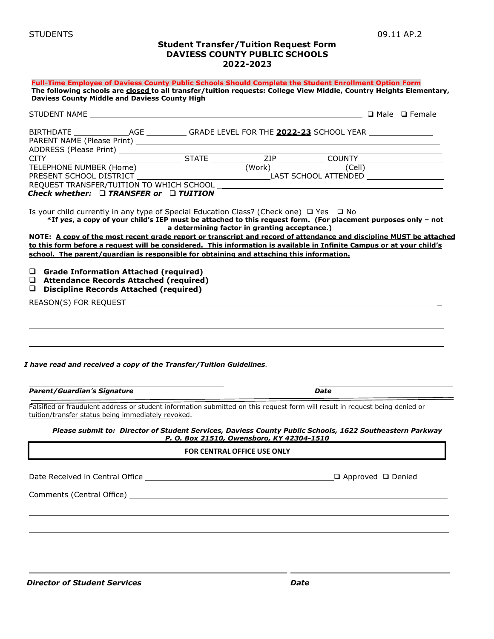#### **Student Transfer/Tuition Request Form DAVIESS COUNTY PUBLIC SCHOOLS 2022-2023**

| Check whether: $\Box$ TRANSFER or $\Box$ TUITION<br>Is your child currently in any type of Special Education Class? (Check one) $\Box$ Yes $\Box$ No<br>*If yes, a copy of your child's IEP must be attached to this request form. (For placement purposes only - not<br>a determining factor in granting acceptance.)<br>NOTE: A copy of the most recent grade report or transcript and record of attendance and discipline MUST be attached<br>to this form before a request will be considered. This information is available in Infinite Campus or at your child's<br>school. The parent/guardian is responsible for obtaining and attaching this information.<br>$\Box$ Grade Information Attached (required)<br>□ Attendance Records Attached (required)<br>$\Box$ Discipline Records Attached (required)<br>I have read and received a copy of the Transfer/Tuition Guidelines.<br><b>Parent/Guardian's Signature</b><br>Date<br>Falsified or fraudulent address or student information submitted on this request form will result in request being denied or<br>tuition/transfer status being immediately revoked.<br>Please submit to: Director of Student Services, Daviess County Public Schools, 1622 Southeastern Parkway<br>P. O. Box 21510, Owensboro, KY 42304-1510<br>FOR CENTRAL OFFICE USE ONLY<br>$\square$ Approved $\square$ Denied | Full-Time Employee of Daviess County Public Schools Should Complete the Student Enrollment Option Form<br>The following schools are closed to all transfer/tuition requests: College View Middle, Country Heights Elementary,<br><b>Daviess County Middle and Daviess County High</b> |  |  |  |
|-----------------------------------------------------------------------------------------------------------------------------------------------------------------------------------------------------------------------------------------------------------------------------------------------------------------------------------------------------------------------------------------------------------------------------------------------------------------------------------------------------------------------------------------------------------------------------------------------------------------------------------------------------------------------------------------------------------------------------------------------------------------------------------------------------------------------------------------------------------------------------------------------------------------------------------------------------------------------------------------------------------------------------------------------------------------------------------------------------------------------------------------------------------------------------------------------------------------------------------------------------------------------------------------------------------------------------------------------------------|---------------------------------------------------------------------------------------------------------------------------------------------------------------------------------------------------------------------------------------------------------------------------------------|--|--|--|
|                                                                                                                                                                                                                                                                                                                                                                                                                                                                                                                                                                                                                                                                                                                                                                                                                                                                                                                                                                                                                                                                                                                                                                                                                                                                                                                                                           |                                                                                                                                                                                                                                                                                       |  |  |  |
|                                                                                                                                                                                                                                                                                                                                                                                                                                                                                                                                                                                                                                                                                                                                                                                                                                                                                                                                                                                                                                                                                                                                                                                                                                                                                                                                                           |                                                                                                                                                                                                                                                                                       |  |  |  |
|                                                                                                                                                                                                                                                                                                                                                                                                                                                                                                                                                                                                                                                                                                                                                                                                                                                                                                                                                                                                                                                                                                                                                                                                                                                                                                                                                           |                                                                                                                                                                                                                                                                                       |  |  |  |
|                                                                                                                                                                                                                                                                                                                                                                                                                                                                                                                                                                                                                                                                                                                                                                                                                                                                                                                                                                                                                                                                                                                                                                                                                                                                                                                                                           |                                                                                                                                                                                                                                                                                       |  |  |  |
|                                                                                                                                                                                                                                                                                                                                                                                                                                                                                                                                                                                                                                                                                                                                                                                                                                                                                                                                                                                                                                                                                                                                                                                                                                                                                                                                                           |                                                                                                                                                                                                                                                                                       |  |  |  |
|                                                                                                                                                                                                                                                                                                                                                                                                                                                                                                                                                                                                                                                                                                                                                                                                                                                                                                                                                                                                                                                                                                                                                                                                                                                                                                                                                           |                                                                                                                                                                                                                                                                                       |  |  |  |
|                                                                                                                                                                                                                                                                                                                                                                                                                                                                                                                                                                                                                                                                                                                                                                                                                                                                                                                                                                                                                                                                                                                                                                                                                                                                                                                                                           |                                                                                                                                                                                                                                                                                       |  |  |  |
|                                                                                                                                                                                                                                                                                                                                                                                                                                                                                                                                                                                                                                                                                                                                                                                                                                                                                                                                                                                                                                                                                                                                                                                                                                                                                                                                                           |                                                                                                                                                                                                                                                                                       |  |  |  |
|                                                                                                                                                                                                                                                                                                                                                                                                                                                                                                                                                                                                                                                                                                                                                                                                                                                                                                                                                                                                                                                                                                                                                                                                                                                                                                                                                           |                                                                                                                                                                                                                                                                                       |  |  |  |
|                                                                                                                                                                                                                                                                                                                                                                                                                                                                                                                                                                                                                                                                                                                                                                                                                                                                                                                                                                                                                                                                                                                                                                                                                                                                                                                                                           |                                                                                                                                                                                                                                                                                       |  |  |  |
|                                                                                                                                                                                                                                                                                                                                                                                                                                                                                                                                                                                                                                                                                                                                                                                                                                                                                                                                                                                                                                                                                                                                                                                                                                                                                                                                                           |                                                                                                                                                                                                                                                                                       |  |  |  |
|                                                                                                                                                                                                                                                                                                                                                                                                                                                                                                                                                                                                                                                                                                                                                                                                                                                                                                                                                                                                                                                                                                                                                                                                                                                                                                                                                           |                                                                                                                                                                                                                                                                                       |  |  |  |
|                                                                                                                                                                                                                                                                                                                                                                                                                                                                                                                                                                                                                                                                                                                                                                                                                                                                                                                                                                                                                                                                                                                                                                                                                                                                                                                                                           |                                                                                                                                                                                                                                                                                       |  |  |  |
|                                                                                                                                                                                                                                                                                                                                                                                                                                                                                                                                                                                                                                                                                                                                                                                                                                                                                                                                                                                                                                                                                                                                                                                                                                                                                                                                                           |                                                                                                                                                                                                                                                                                       |  |  |  |
|                                                                                                                                                                                                                                                                                                                                                                                                                                                                                                                                                                                                                                                                                                                                                                                                                                                                                                                                                                                                                                                                                                                                                                                                                                                                                                                                                           |                                                                                                                                                                                                                                                                                       |  |  |  |
|                                                                                                                                                                                                                                                                                                                                                                                                                                                                                                                                                                                                                                                                                                                                                                                                                                                                                                                                                                                                                                                                                                                                                                                                                                                                                                                                                           |                                                                                                                                                                                                                                                                                       |  |  |  |
|                                                                                                                                                                                                                                                                                                                                                                                                                                                                                                                                                                                                                                                                                                                                                                                                                                                                                                                                                                                                                                                                                                                                                                                                                                                                                                                                                           |                                                                                                                                                                                                                                                                                       |  |  |  |
|                                                                                                                                                                                                                                                                                                                                                                                                                                                                                                                                                                                                                                                                                                                                                                                                                                                                                                                                                                                                                                                                                                                                                                                                                                                                                                                                                           |                                                                                                                                                                                                                                                                                       |  |  |  |
|                                                                                                                                                                                                                                                                                                                                                                                                                                                                                                                                                                                                                                                                                                                                                                                                                                                                                                                                                                                                                                                                                                                                                                                                                                                                                                                                                           |                                                                                                                                                                                                                                                                                       |  |  |  |
|                                                                                                                                                                                                                                                                                                                                                                                                                                                                                                                                                                                                                                                                                                                                                                                                                                                                                                                                                                                                                                                                                                                                                                                                                                                                                                                                                           |                                                                                                                                                                                                                                                                                       |  |  |  |
|                                                                                                                                                                                                                                                                                                                                                                                                                                                                                                                                                                                                                                                                                                                                                                                                                                                                                                                                                                                                                                                                                                                                                                                                                                                                                                                                                           |                                                                                                                                                                                                                                                                                       |  |  |  |
|                                                                                                                                                                                                                                                                                                                                                                                                                                                                                                                                                                                                                                                                                                                                                                                                                                                                                                                                                                                                                                                                                                                                                                                                                                                                                                                                                           |                                                                                                                                                                                                                                                                                       |  |  |  |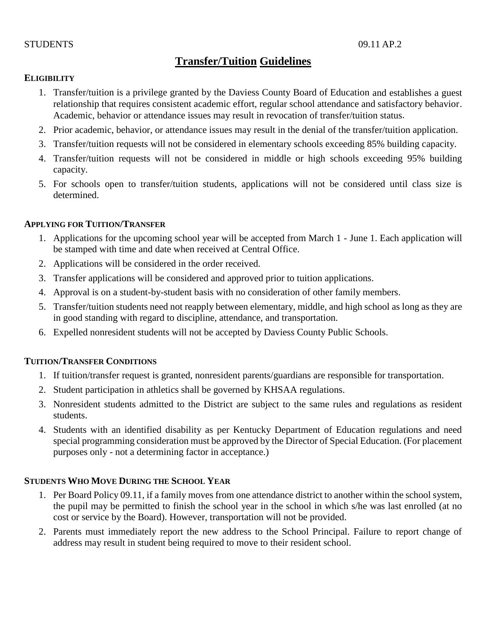## STUDENTS 09.11 AP.2

# **Transfer/Tuition Guidelines**

# **ELIGIBILITY**

- 1. Transfer/tuition is a privilege granted by the Daviess County Board of Education and establishes a guest relationship that requires consistent academic effort, regular school attendance and satisfactory behavior. Academic, behavior or attendance issues may result in revocation of transfer/tuition status.
- 2. Prior academic, behavior, or attendance issues may result in the denial of the transfer/tuition application.
- 3. Transfer/tuition requests will not be considered in elementary schools exceeding 85% building capacity.
- 4. Transfer/tuition requests will not be considered in middle or high schools exceeding 95% building capacity.
- 5. For schools open to transfer/tuition students, applications will not be considered until class size is determined.

## **APPLYING FOR TUITION/TRANSFER**

- 1. Applications for the upcoming school year will be accepted from March 1 June 1. Each application will be stamped with time and date when received at Central Office.
- 2. Applications will be considered in the order received.
- 3. Transfer applications will be considered and approved prior to tuition applications.
- 4. Approval is on a student-by-student basis with no consideration of other family members.
- 5. Transfer/tuition students need not reapply between elementary, middle, and high school as long as they are in good standing with regard to discipline, attendance, and transportation.
- 6. Expelled nonresident students will not be accepted by Daviess County Public Schools.

# **TUITION/TRANSFER CONDITIONS**

- 1. If tuition/transfer request is granted, nonresident parents/guardians are responsible for transportation.
- 2. Student participation in athletics shall be governed by KHSAA regulations.
- 3. Nonresident students admitted to the District are subject to the same rules and regulations as resident students.
- 4. Students with an identified disability as per Kentucky Department of Education regulations and need special programming consideration must be approved by the Director of Special Education. (For placement purposes only - not a determining factor in acceptance.)

# **STUDENTS WHO MOVE DURING THE SCHOOL YEAR**

- 1. Per Board Policy 09.11, if a family moves from one attendance district to another within the school system, the pupil may be permitted to finish the school year in the school in which s/he was last enrolled (at no cost or service by the Board). However, transportation will not be provided.
- 2. Parents must immediately report the new address to the School Principal. Failure to report change of address may result in student being required to move to their resident school.